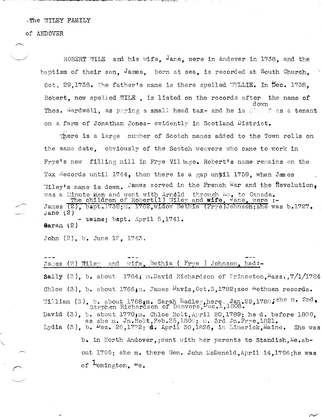## -The WILEY FAMILY

#### of ANDOVER

ROBERT WILE and his wife. Jane, were in Andover in 1738, and the baptism of their son, James, born at sea, is recorded at South Church. oct, 29,1738. The father's name is there spelled WYLLIE. In Dec. 1738. Robert, now spelled WILE, is listed on the records after the name of Thos. Wardwell, as paying a small head tax- and he is about as a tenant on a farm of Jonathan Jones- evidently in Scotland District.

There is a large number of Scotch names added to the Town rolls on the same date. obviously of the Scotch weavers who came to work in Frye's new filling mill in Frye Village. Robert's name remains on the Tax Records until 1744, then there is a gap until 1759, when Janes Wiley's name is down. James served in the French War and the Revolution. was a Minute man and went with Arnold through Me, to Canada.<br>The children of Robert (1) Wiley and wife, Jane, were :-<br>James (2), bapt.1738;m. 1762, widow Bethia (Frye)Johnson; she was b.1727. Jane $(2)$  $\cdot$  twins; bapt. April 5,1741. Sarah  $(2)$ 

John (2), b. June 12, 1743.

Bethia (  $Frye$  ) Johnson, had:wife. James  $(2)$  Wiley and Sally  $(3)$ , b. about 1764; m. David Richardson of Princeton, Mass., 7/1/1784 Chloe (3), b. about 1766; m. James  $Pavis$ , Oct.3, 1782; see <sup>m</sup>ethuen records. William (3), b. about 1768; m. Sarah Hadley, here Jan.29, 1788; she m. 2nd, Stephen Richardson of Danvers,  $\frac{1}{2}$ ec.1, 1808. David  $(3)$ , b. about 1770;m. Chloe Holt, April 20, 1789; he d. before 1800, as she m. Jn.Holt, Feb.25, 1800; m. 3rd Jn.Frye, 1821. Lydia (3), b.  $\log 26, 1772$ ; d. April 30,1826, in Limerick, Maine. She was b. in North Andover, went with her parents to Standish. Me.about 1795; she m. there Gen. John McDonald, April 14.1796; he was of <sup>L</sup>emington, <sup>Me.</sup>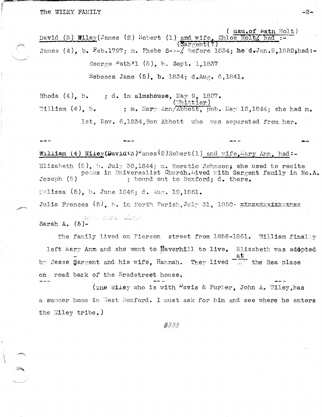The WILEY FAMILY

(  $\ddot{a}$ au.of Nath Holt) David (3) Wiley(James (2) Robert (1) and wife. Chloe Holt/ had  $(Sargent?)$ James (4), b. Feb.1797; m. Phebe S---/ before 1834; he d.Jan.9.1852; had:-George  $Nath1 (5)$ , b. Sept. 1,1837 Rebecca Jane  $(5)$ , b. 1834; d.Aug. 6,1841.

Rhoda  $(4)$ , b. ; d. in almshouse, May 9,  $1827.$ Whittier) ; m. Mary Ann/Abbott, pub. May 12,1844; she had m. William  $(4)$ , b. 1st, Nov. 6,1834, Ben Abbott who was separated from her.

William (4) Wiley(David(3) ames(2)Robert(1) and wife, Mary Ann, had:-Elizabeth  $(5)$ , b. July 30,1844; m. Horatio Johnson; she used to recite poems in Universalist Church. ived with Sargent family in No.A. Joseph  $(5)$ ; bound out to Boxford; d. there. Melissa (5), b. June 1846; d. Aug. 19,1851. Julia Frances  $(5)$ , b. in North Parish, July 31, 1850: EXXEXEXXXXXXXXXXX the complete way to the complete

Sarah A.  $(5)-$ 

The family lived on Pierson street from 1856-1861. William finally left Mary Anm and she went to Haverhill to live. Elizabeth was adopted at by Jesse Sargent and his wife. Hannah. They lived  $\overline{1}$  the Rea place on road back of the Bradstreet house.

(The Wiley who is with <sup>D</sup>avis & Furber, John A. Wiley, has a summer home in West Boxford. I must ask for him and see where he enters the Wiley tribe.)

####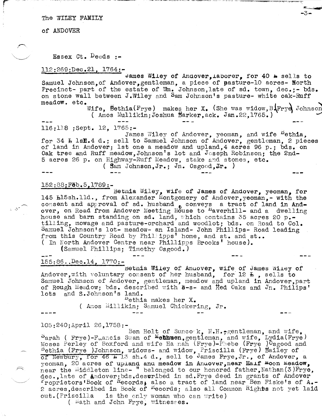The WILEY FAMILY

of ANDOVER

 $\mathcal{C}$ 

 $\sqrt{2\pi}$ 

 $z\in\mathcal{O}^{\frac{1}{\alpha}}$ 

 $\hat{\frown}$ 

Essex Ct.  $Decds$  :-

## 112:269;Dec.21, 1764:-

James Wiley of Andover, Laborer, for 40 e sells to Samuel Johnson, of Andover, gentleman, a piece of pasture-10 acres- North Precinct- part of the estate of Wm. Johnson, late of sd. town, dec.; - bds. recinct- part of the estate of wm. Johnson, late of sa. town, dec.;- bds.<br>on stone wall between J.Wiley and Sam Johnson's pasture- white oak-Ruff<br>meadow. etc.<br>Wife. Bethia(Frve) makes her X. (She was widow.B.Frve) Johnson

Wife, Bethia(Frye) makes her X. (She was widow,  $B\sqrt{Fryd}$  Johnson ( Amos Mullikin; Joshua  $\texttt{Barker,ack.}$  Jan.22,1765.)

# 116:118 ;sept. 12, 1765:-

James Wiley of Andover, yeoman, and wife  $Pethia$ , for 34 *b* 1sf.4 d.; sell to Samuel Johnson of Andover, gentleman, 2 pieces of land in Andover; 1st one a meadow and upland,4 acres 96 p.; bds. on Oak tree and Ruff meadow,Johnson's lot and Joseph Robinson; the 2nd-5 acres 26 p. on Highway-Ruff Meadow, stake and stones, etc.

( Sam Johnson, Jr.; Jn. Osgood, Jr. )

# 152:88;Feb.5,1789:-

Betnia Wiley, wife of James of Andover, yeoman, for 145 h15sh.lld., from Alexander Montgomery of Andover,yeoman,- with the consent and approval of sd. husband  $e$  conveys a tract of land in Andover, on Road from Andover Meeting House to <sup>H</sup>averhill- and a dwelling house and barn standing on sd. land, which contains 35 acres 20 p.tilling, mowage and pasture-orchard and woodlot; bds. on Road to Col. Samuel Johnson's lot- meadow- an Island- John Phillips- Road leading from this Country Road by Phillipps' home, and st. and st.. ( In North Andover Centre near Phillipps Brooks' house).

(Samuel Phillips; Timothy Osgood.)

# --- 155:86.. Dec.14, 1770:-

bethia Wiley of Anuover, wife of James Wiley of Andover, with voluntary consent of her husband, for  $12 \pm$ , sells to Samuel Johnson of Andover, gentleman, meadow and upland in Andover,part of Rough Meadow; bds. described with  $3-s-$  and  $Red$  Oaks and Jn. Philips' lots and S.Johnson's land.

 $P$ ethia makes her X.

( Amos Millikin; Samuel Chickering, Jr.

105:240;April 26,1758:-

Ben Holt of Suncock,  $N.H.$  gentleman, and wife,  $S<sub>arah</sub>$  ( Frye)-F<sub>rancis</sub> Swan of Methneen, gentleman, and wife, Lydia(Frye) Moses Perley of Boxford and wife Hamah (Frye)-Phebe (Frye ) Osgood and  $\frac{1}{100}$   $\frac{1}{100}$   $\frac{1}{100}$   $\frac{1}{100}$   $\frac{1}{100}$   $\frac{1}{100}$   $\frac{1}{100}$   $\frac{1}{100}$   $\frac{1}{100}$   $\frac{1}{100}$   $\frac{1}{100}$   $\frac{1}{100}$   $\frac{1}{100}$   $\frac{1}{100}$   $\frac{1}{100}$   $\frac{1}{100}$   $\frac{1}{100}$   $\frac{1}{100}$   $\frac{1$ of Newbury, for 46 k 13 sh.4 d., sell to James Frye, Jr., of Andover, a yeoman, 20 acres of upland and meadow in Andover, near Haif moon meadow, near the Middleton line- " belonged to our honored father, Nathan(3)Frye, dec., late of Andover; bds.desuribed in sd. Frye deed in grants of Andover  $r$ roprietors'Book of Records, also a tract of land near Ben Fiske's of A.-2 acres described in Book of  $^{K}$ ecords; also all Common  $R$ ights not yet laid  $out.(Priscilla$  is the only woman who can write)

( Wath and John Frye, witnesses.